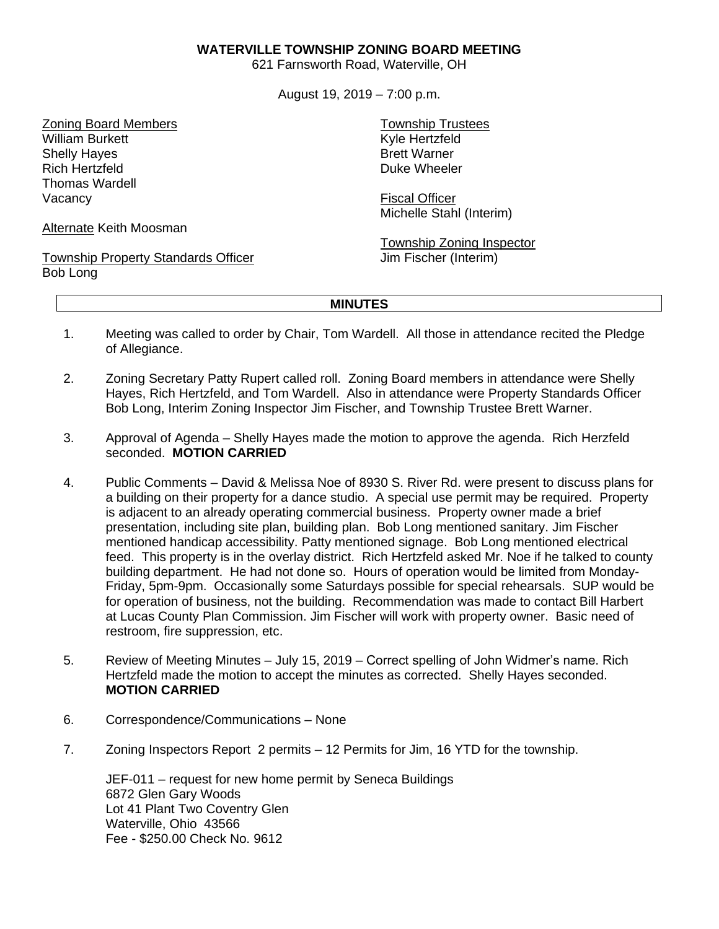## **WATERVILLE TOWNSHIP ZONING BOARD MEETING**

621 Farnsworth Road, Waterville, OH

August 19, 2019 – 7:00 p.m.

Zoning Board Members William Burkett Shelly Hayes Rich Hertzfeld Thomas Wardell Vacancy

Alternate Keith Moosman

Township Property Standards Officer Bob Long

Township Trustees Kyle Hertzfeld Brett Warner Duke Wheeler

Fiscal Officer Michelle Stahl (Interim)

Township Zoning Inspector Jim Fischer (Interim)

## **MINUTES**

- 1. Meeting was called to order by Chair, Tom Wardell. All those in attendance recited the Pledge of Allegiance.
- 2. Zoning Secretary Patty Rupert called roll. Zoning Board members in attendance were Shelly Hayes, Rich Hertzfeld, and Tom Wardell. Also in attendance were Property Standards Officer Bob Long, Interim Zoning Inspector Jim Fischer, and Township Trustee Brett Warner.
- 3. Approval of Agenda Shelly Hayes made the motion to approve the agenda. Rich Herzfeld seconded. **MOTION CARRIED**
- 4. Public Comments David & Melissa Noe of 8930 S. River Rd. were present to discuss plans for a building on their property for a dance studio. A special use permit may be required. Property is adjacent to an already operating commercial business. Property owner made a brief presentation, including site plan, building plan. Bob Long mentioned sanitary. Jim Fischer mentioned handicap accessibility. Patty mentioned signage. Bob Long mentioned electrical feed. This property is in the overlay district. Rich Hertzfeld asked Mr. Noe if he talked to county building department. He had not done so. Hours of operation would be limited from Monday-Friday, 5pm-9pm. Occasionally some Saturdays possible for special rehearsals. SUP would be for operation of business, not the building. Recommendation was made to contact Bill Harbert at Lucas County Plan Commission. Jim Fischer will work with property owner. Basic need of restroom, fire suppression, etc.
- 5. Review of Meeting Minutes July 15, 2019 Correct spelling of John Widmer's name. Rich Hertzfeld made the motion to accept the minutes as corrected. Shelly Hayes seconded. **MOTION CARRIED**
- 6. Correspondence/Communications None
- 7. Zoning Inspectors Report 2 permits 12 Permits for Jim, 16 YTD for the township.

JEF-011 – request for new home permit by Seneca Buildings 6872 Glen Gary Woods Lot 41 Plant Two Coventry Glen Waterville, Ohio 43566 Fee - \$250.00 Check No. 9612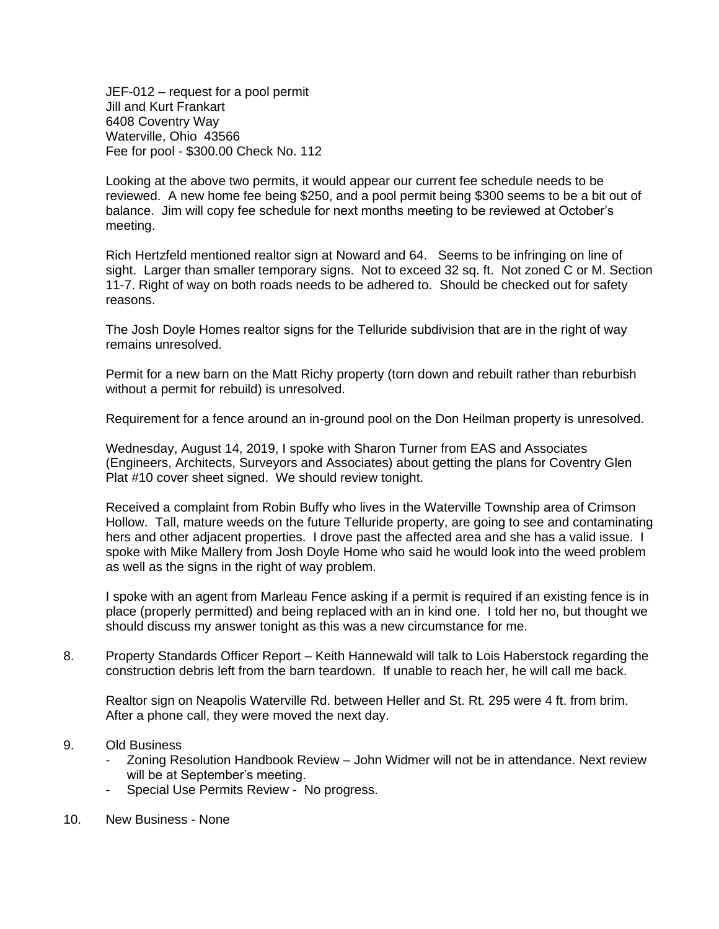JEF-012 – request for a pool permit Jill and Kurt Frankart 6408 Coventry Way Waterville, Ohio 43566 Fee for pool - \$300.00 Check No. 112

Looking at the above two permits, it would appear our current fee schedule needs to be reviewed. A new home fee being \$250, and a pool permit being \$300 seems to be a bit out of balance. Jim will copy fee schedule for next months meeting to be reviewed at October's meeting.

Rich Hertzfeld mentioned realtor sign at Noward and 64. Seems to be infringing on line of sight. Larger than smaller temporary signs. Not to exceed 32 sq. ft. Not zoned C or M. Section 11-7. Right of way on both roads needs to be adhered to. Should be checked out for safety reasons.

The Josh Doyle Homes realtor signs for the Telluride subdivision that are in the right of way remains unresolved.

Permit for a new barn on the Matt Richy property (torn down and rebuilt rather than reburbish without a permit for rebuild) is unresolved.

Requirement for a fence around an in-ground pool on the Don Heilman property is unresolved.

Wednesday, August 14, 2019, I spoke with Sharon Turner from EAS and Associates (Engineers, Architects, Surveyors and Associates) about getting the plans for Coventry Glen Plat #10 cover sheet signed. We should review tonight.

Received a complaint from Robin Buffy who lives in the Waterville Township area of Crimson Hollow. Tall, mature weeds on the future Telluride property, are going to see and contaminating hers and other adjacent properties. I drove past the affected area and she has a valid issue. I spoke with Mike Mallery from Josh Doyle Home who said he would look into the weed problem as well as the signs in the right of way problem.

I spoke with an agent from Marleau Fence asking if a permit is required if an existing fence is in place (properly permitted) and being replaced with an in kind one. I told her no, but thought we should discuss my answer tonight as this was a new circumstance for me.

8. Property Standards Officer Report – Keith Hannewald will talk to Lois Haberstock regarding the construction debris left from the barn teardown. If unable to reach her, he will call me back.

Realtor sign on Neapolis Waterville Rd. between Heller and St. Rt. 295 were 4 ft. from brim. After a phone call, they were moved the next day.

## 9. Old Business

- Zoning Resolution Handbook Review John Widmer will not be in attendance. Next review will be at September's meeting.
- Special Use Permits Review No progress.
- 10. New Business None